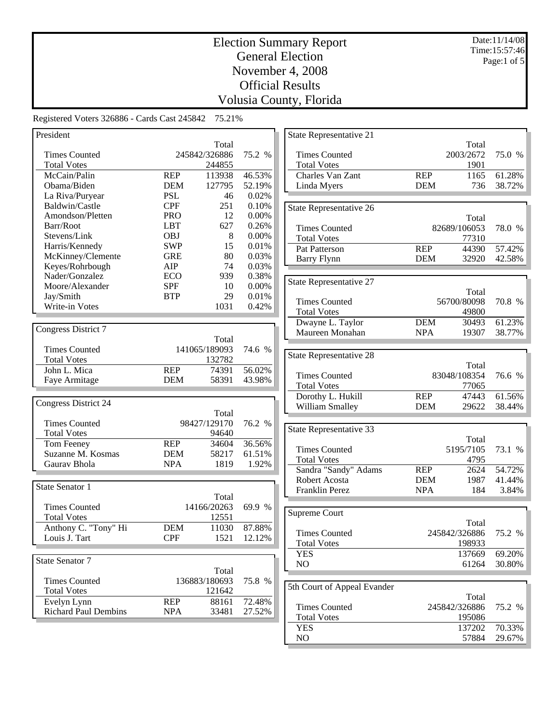Date:11/14/08 Time:15:57:46 Page:1 of 5

# Election Summary Report General Election November 4, 2008 Official Results Volusia County, Florida

Registered Voters 326886 - Cards Cast 245842 75.21%

| President                                  |                          |                |                  |
|--------------------------------------------|--------------------------|----------------|------------------|
|                                            |                          | Total          |                  |
| <b>Times Counted</b>                       |                          | 245842/326886  | 75.2 %           |
| <b>Total Votes</b>                         |                          | 244855         |                  |
| McCain/Palin                               | <b>REP</b>               | 113938         | 46.53%           |
| Obama/Biden                                | <b>DEM</b>               | 127795         | 52.19%           |
| La Riva/Puryear                            | <b>PSL</b>               | 46             | 0.02%            |
| Baldwin/Castle                             | <b>CPF</b>               | 251            | 0.10%            |
| Amondson/Pletten                           | <b>PRO</b>               | 12             | 0.00%            |
| Barr/Root                                  | <b>LBT</b>               | 627            | 0.26%            |
| Stevens/Link                               | <b>OBJ</b>               | 8              | 0.00%            |
| Harris/Kennedy                             | <b>SWP</b>               | 15             | 0.01%            |
| McKinney/Clemente                          | <b>GRE</b>               | 80             | 0.03%            |
| Keyes/Rohrbough                            | AIP                      | 74             | 0.03%            |
| Nader/Gonzalez                             | ECO                      | 939            | 0.38%            |
| Moore/Alexander                            | <b>SPF</b>               | 10             | 0.00%            |
| Jay/Smith                                  | <b>BTP</b>               | 29             | 0.01%            |
| Write-in Votes                             |                          | 1031           | 0.42%            |
|                                            |                          |                |                  |
|                                            |                          |                |                  |
| Congress District 7                        |                          |                |                  |
|                                            |                          | Total          |                  |
| <b>Times Counted</b>                       |                          | 141065/189093  | 74.6 %           |
| <b>Total Votes</b>                         |                          | 132782         |                  |
| John L. Mica                               | <b>REP</b>               | 74391          | 56.02%           |
| Faye Armitage                              | <b>DEM</b>               | 58391          | 43.98%           |
|                                            |                          |                |                  |
| <b>Congress District 24</b>                |                          |                |                  |
|                                            |                          | Total          |                  |
| <b>Times Counted</b>                       |                          | 98427/129170   | 76.2 %           |
| <b>Total Votes</b>                         |                          | 94640          |                  |
| Tom Feeney                                 | <b>REP</b>               | 34604          | 36.56%           |
| Suzanne M. Kosmas                          | <b>DEM</b>               | 58217          | 61.51%           |
| Gaurav Bhola                               | <b>NPA</b>               | 1819           | 1.92%            |
|                                            |                          |                |                  |
|                                            |                          |                |                  |
| <b>State Senator 1</b>                     |                          |                |                  |
|                                            |                          | Total          |                  |
| <b>Times Counted</b>                       |                          | 14166/20263    | 69.9 %           |
| <b>Total Votes</b>                         |                          | 12551          |                  |
| Anthony C. "Tony" Hi                       | <b>DEM</b>               | 11030          | 87.88%           |
| Louis J. Tart                              | <b>CPF</b>               | 1521           | 12.12%           |
|                                            |                          |                |                  |
| State Senator 7                            |                          |                |                  |
|                                            |                          | Total          |                  |
| <b>Times Counted</b>                       |                          | 136883/180693  | 75.8 %           |
|                                            |                          |                |                  |
|                                            |                          |                |                  |
| <b>Total Votes</b>                         |                          | 121642         |                  |
| Evelyn Lynn<br><b>Richard Paul Dembins</b> | <b>REP</b><br><b>NPA</b> | 88161<br>33481 | 72.48%<br>27.52% |

| State Representative 21     |            |               |        |
|-----------------------------|------------|---------------|--------|
|                             |            | Total         |        |
| <b>Times Counted</b>        |            | 2003/2672     | 75.0 % |
| <b>Total Votes</b>          |            | 1901          |        |
| Charles Van Zant            | <b>REP</b> | 1165          | 61.28% |
| Linda Myers                 | <b>DEM</b> | 736           | 38.72% |
|                             |            |               |        |
| State Representative 26     |            |               |        |
|                             |            | Total         |        |
| <b>Times Counted</b>        |            | 82689/106053  | 78.0 % |
| <b>Total Votes</b>          |            | 77310         |        |
| <b>Pat Patterson</b>        | <b>REP</b> | 44390         | 57.42% |
|                             |            |               | 42.58% |
| <b>Barry Flynn</b>          | <b>DEM</b> | 32920         |        |
|                             |            |               |        |
| State Representative 27     |            |               |        |
|                             |            | Total         |        |
| <b>Times Counted</b>        |            | 56700/80098   | 70.8 % |
| <b>Total Votes</b>          |            | 49800         |        |
| Dwayne L. Taylor            | <b>DEM</b> | 30493         | 61.23% |
| Maureen Monahan             | <b>NPA</b> | 19307         | 38.77% |
|                             |            |               |        |
| State Representative 28     |            |               |        |
|                             |            |               |        |
|                             |            | Total         | 76.6 % |
| <b>Times Counted</b>        |            | 83048/108354  |        |
| <b>Total Votes</b>          |            | 77065         |        |
| Dorothy L. Hukill           | <b>REP</b> | 47443         | 61.56% |
| William Smalley             | <b>DEM</b> | 29622         | 38.44% |
|                             |            |               |        |
| State Representative 33     |            |               |        |
|                             |            | Total         |        |
| Times Counted               |            | 5195/7105     | 73.1 % |
| <b>Total Votes</b>          |            | 4795          |        |
| Sandra "Sandy" Adams        | <b>REP</b> | 2624          | 54.72% |
| Robert Acosta               | <b>DEM</b> | 1987          | 41.44% |
| Franklin Perez              | <b>NPA</b> | 184           | 3.84%  |
|                             |            |               |        |
|                             |            |               |        |
| Supreme Court               |            |               |        |
|                             |            | Total         |        |
| Times Counted               |            | 245842/326886 | 75.2 % |
| <b>Total Votes</b>          |            | 198933        |        |
| YES                         |            | 137669        | 69.20% |
| NO                          |            | 61264         | 30.80% |
|                             |            |               |        |
| 5th Court of Appeal Evander |            |               |        |
|                             |            | Total         |        |
| <b>Times Counted</b>        |            | 245842/326886 | 75.2 % |
| <b>Total Votes</b>          |            | 195086        |        |
| <b>YES</b>                  |            | 137202        | 70.33% |
|                             |            |               |        |
| N <sub>O</sub>              |            | 57884         | 29.67% |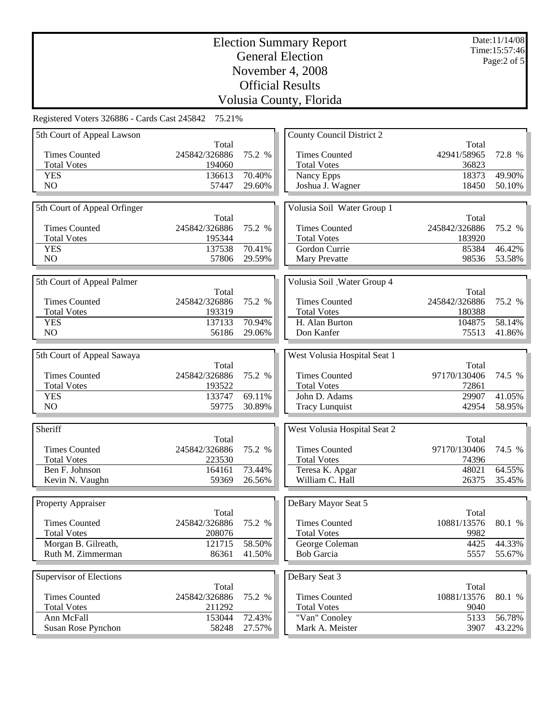Date:11/14/08 Time:15:57:46 Page:2 of 5

| Registered Voters 326886 - Cards Cast 245842 75.21% |
|-----------------------------------------------------|
|-----------------------------------------------------|

| 5th Court of Appeal Lawson   |               |        | <b>County Council District 2</b> |                        |        |
|------------------------------|---------------|--------|----------------------------------|------------------------|--------|
|                              | Total         |        |                                  | Total                  |        |
| <b>Times Counted</b>         | 245842/326886 | 75.2 % | <b>Times Counted</b>             | 42941/58965            | 72.8 % |
| <b>Total Votes</b>           | 194060        |        | <b>Total Votes</b>               | 36823                  |        |
| <b>YES</b>                   | 136613        | 70.40% | Nancy Epps                       | 18373                  | 49.90% |
| NO                           | 57447         | 29.60% | Joshua J. Wagner                 | 18450                  | 50.10% |
|                              |               |        |                                  |                        |        |
| 5th Court of Appeal Orfinger |               |        | Volusia Soil Water Group 1       |                        |        |
|                              | Total         |        |                                  | Total                  |        |
| <b>Times Counted</b>         | 245842/326886 | 75.2 % | <b>Times Counted</b>             | 245842/326886          | 75.2 % |
| <b>Total Votes</b>           | 195344        |        | <b>Total Votes</b>               | 183920                 |        |
| <b>YES</b>                   | 137538        | 70.41% | Gordon Currie                    | 85384                  | 46.42% |
| NO                           | 57806         | 29.59% | Mary Prevatte                    | 98536                  | 53.58% |
|                              |               |        |                                  |                        |        |
|                              |               |        |                                  |                        |        |
| 5th Court of Appeal Palmer   | Total         |        | Volusia Soil _Water Group 4      |                        |        |
| <b>Times Counted</b>         | 245842/326886 | 75.2 % | <b>Times Counted</b>             | Total<br>245842/326886 | 75.2 % |
|                              |               |        |                                  |                        |        |
| <b>Total Votes</b>           | 193319        |        | <b>Total Votes</b>               | 180388                 |        |
| <b>YES</b>                   | 137133        | 70.94% | H. Alan Burton                   | 104875                 | 58.14% |
| NO                           | 56186         | 29.06% | Don Kanfer                       | 75513                  | 41.86% |
|                              |               |        |                                  |                        |        |
| 5th Court of Appeal Sawaya   |               |        | West Volusia Hospital Seat 1     |                        |        |
|                              | Total         |        |                                  | Total                  |        |
| <b>Times Counted</b>         | 245842/326886 | 75.2 % | <b>Times Counted</b>             | 97170/130406           | 74.5 % |
| <b>Total Votes</b>           | 193522        |        | <b>Total Votes</b>               | 72861                  |        |
| <b>YES</b>                   | 133747        | 69.11% | John D. Adams                    | 29907                  | 41.05% |
| N <sub>O</sub>               | 59775         | 30.89% | Tracy Lunquist                   | 42954                  | 58.95% |
|                              |               |        |                                  |                        |        |
| Sheriff                      |               |        | West Volusia Hospital Seat 2     |                        |        |
|                              | Total         |        |                                  | Total                  |        |
| <b>Times Counted</b>         | 245842/326886 | 75.2 % | <b>Times Counted</b>             | 97170/130406           | 74.5 % |
| <b>Total Votes</b>           | 223530        |        | <b>Total Votes</b>               | 74396                  |        |
| Ben F. Johnson               | 164161        | 73.44% | Teresa K. Apgar                  | 48021                  | 64.55% |
| Kevin N. Vaughn              | 59369         | 26.56% | William C. Hall                  | 26375                  | 35.45% |
|                              |               |        |                                  |                        |        |
| Property Appraiser           |               |        | DeBary Mayor Seat 5              |                        |        |
|                              | Total         |        |                                  | Total                  |        |
| <b>Times Counted</b>         | 245842/326886 | 75.2 % | <b>Times Counted</b>             | 10881/13576            | 80.1 % |
| <b>Total Votes</b>           | 208076        |        | <b>Total Votes</b>               | 9982                   |        |
| Morgan B. Gilreath,          | 121715        | 58.50% | George Coleman                   | 4425                   | 44.33% |
| Ruth M. Zimmerman            | 86361         | 41.50% | <b>Bob Garcia</b>                | 5557                   | 55.67% |
|                              |               |        |                                  |                        |        |
|                              |               |        |                                  |                        |        |
| Supervisor of Elections      |               |        | DeBary Seat 3                    |                        |        |
|                              | Total         |        |                                  | Total                  |        |
| <b>Times Counted</b>         | 245842/326886 | 75.2 % | <b>Times Counted</b>             | 10881/13576            | 80.1 % |
| <b>Total Votes</b>           | 211292        |        | <b>Total Votes</b>               | 9040                   |        |
| Ann McFall                   | 153044        | 72.43% | "Van" Conoley                    | 5133                   | 56.78% |
| Susan Rose Pynchon           | 58248         | 27.57% | Mark A. Meister                  | 3907                   | 43.22% |
|                              |               |        |                                  |                        |        |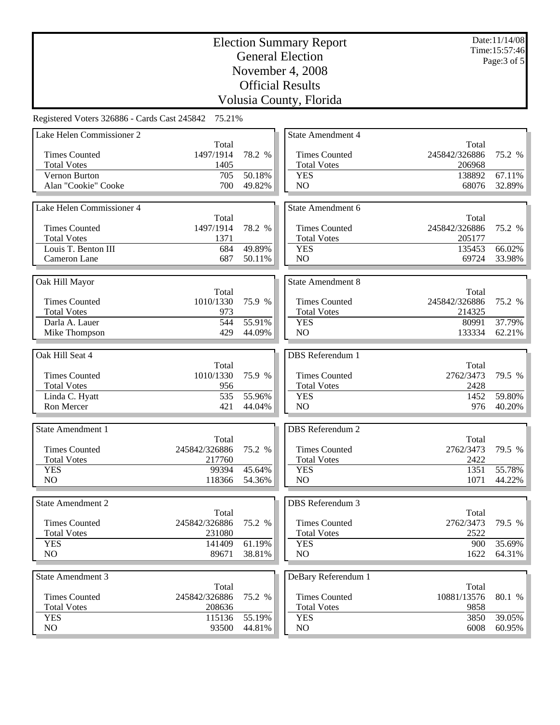Date:11/14/08 Time:15:57:46 Page:3 of 5

| Registered Voters 326886 - Cards Cast 245842 75.21% |  |  |  |  |  |  |
|-----------------------------------------------------|--|--|--|--|--|--|
|-----------------------------------------------------|--|--|--|--|--|--|

| Lake Helen Commissioner 2 |               |        | <b>State Amendment 4</b> |                   |        |
|---------------------------|---------------|--------|--------------------------|-------------------|--------|
|                           | Total         |        |                          | Total             |        |
| <b>Times Counted</b>      | 1497/1914     | 78.2 % | <b>Times Counted</b>     | 245842/326886     | 75.2 % |
| <b>Total Votes</b>        | 1405          |        | <b>Total Votes</b>       | 206968            |        |
| Vernon Burton             | 705           | 50.18% | <b>YES</b>               | 138892            | 67.11% |
| Alan "Cookie" Cooke       | 700           | 49.82% | NO                       | 68076             | 32.89% |
|                           |               |        |                          |                   |        |
| Lake Helen Commissioner 4 |               |        | State Amendment 6        |                   |        |
|                           | Total         |        |                          | Total             |        |
| <b>Times Counted</b>      | 1497/1914     | 78.2 % | <b>Times Counted</b>     | 245842/326886     | 75.2 % |
| <b>Total Votes</b>        | 1371          |        | <b>Total Votes</b>       | 205177            |        |
| Louis T. Benton III       | 684           | 49.89% | <b>YES</b>               | 135453            | 66.02% |
| Cameron Lane              | 687           | 50.11% | NO.                      | 69724             | 33.98% |
|                           |               |        |                          |                   |        |
|                           |               |        |                          |                   |        |
| Oak Hill Mayor            |               |        | <b>State Amendment 8</b> |                   |        |
|                           | Total         |        |                          | Total             |        |
| <b>Times Counted</b>      | 1010/1330     | 75.9 % | <b>Times Counted</b>     | 245842/326886     | 75.2 % |
| <b>Total Votes</b>        | 973           |        | <b>Total Votes</b>       | 214325            |        |
| Darla A. Lauer            | 544           | 55.91% | <b>YES</b>               | 80991             | 37.79% |
| Mike Thompson             | 429           | 44.09% | NO.                      | 133334            | 62.21% |
|                           |               |        |                          |                   |        |
| Oak Hill Seat 4           |               |        | <b>DBS</b> Referendum 1  |                   |        |
|                           | Total         |        |                          | Total             |        |
| <b>Times Counted</b>      | 1010/1330     | 75.9 % | <b>Times Counted</b>     | 2762/3473         | 79.5 % |
| <b>Total Votes</b>        | 956           |        | <b>Total Votes</b>       | 2428              |        |
| Linda C. Hyatt            | 535           | 55.96% | <b>YES</b>               | 1452              | 59.80% |
| Ron Mercer                | 421           | 44.04% | NO                       | 976               | 40.20% |
|                           |               |        |                          |                   |        |
| <b>State Amendment 1</b>  |               |        | <b>DBS</b> Referendum 2  |                   |        |
|                           | Total         |        |                          | Total             |        |
| <b>Times Counted</b>      | 245842/326886 | 75.2 % | <b>Times Counted</b>     | 2762/3473         | 79.5 % |
| <b>Total Votes</b>        | 217760        |        | <b>Total Votes</b>       | 2422              |        |
| <b>YES</b>                | 99394         | 45.64% | <b>YES</b>               | 1351              | 55.78% |
| NO                        | 118366        | 54.36% | NO                       | 1071              | 44.22% |
|                           |               |        |                          |                   |        |
| <b>State Amendment 2</b>  |               |        | DBS Referendum 3         |                   |        |
|                           | Total         |        |                          | Total             |        |
| <b>Times Counted</b>      |               |        |                          |                   |        |
|                           | 245842/326886 | 75.2 % | <b>Times Counted</b>     | 2762/3473<br>2522 | 79.5 % |
| <b>Total Votes</b>        | 231080        |        | <b>Total Votes</b>       |                   |        |
| <b>YES</b>                | 141409        | 61.19% | <b>YES</b>               | 900               | 35.69% |
| NO                        | 89671         | 38.81% | NO                       | 1622              | 64.31% |
|                           |               |        |                          |                   |        |
| <b>State Amendment 3</b>  |               |        | DeBary Referendum 1      |                   |        |
|                           | Total         |        |                          | Total             |        |
| <b>Times Counted</b>      | 245842/326886 | 75.2 % | <b>Times Counted</b>     | 10881/13576       | 80.1 % |
| <b>Total Votes</b>        | 208636        |        | <b>Total Votes</b>       | 9858              |        |
| <b>YES</b>                | 115136        | 55.19% | <b>YES</b>               | 3850              | 39.05% |
| NO.                       | 93500         | 44.81% | NO.                      | 6008              | 60.95% |
|                           |               |        |                          |                   |        |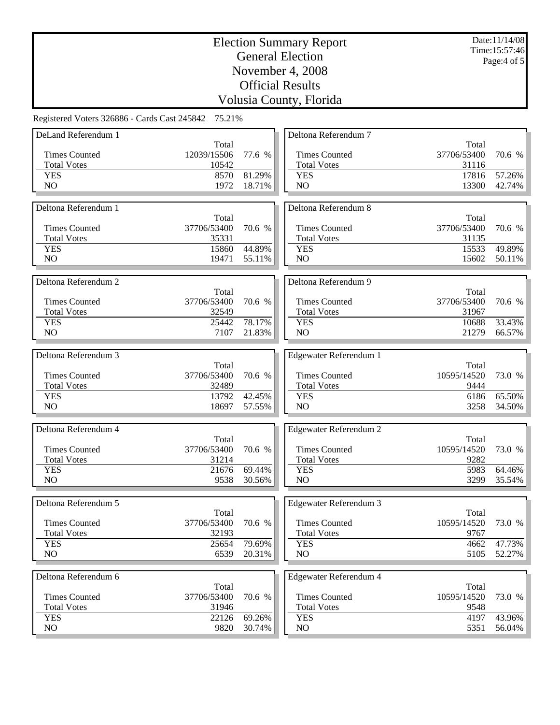Date:11/14/08 Time:15:57:46 Page:4 of 5

| DeLand Referendum 1  |             |        | Deltona Referendum 7          |             |        |
|----------------------|-------------|--------|-------------------------------|-------------|--------|
|                      | Total       |        |                               | Total       |        |
| <b>Times Counted</b> | 12039/15506 | 77.6 % | <b>Times Counted</b>          | 37706/53400 | 70.6 % |
| <b>Total Votes</b>   | 10542       |        | <b>Total Votes</b>            | 31116       |        |
| <b>YES</b>           | 8570        | 81.29% | <b>YES</b>                    | 17816       | 57.26% |
| NO                   | 1972        | 18.71% | N <sub>O</sub>                | 13300       | 42.74% |
|                      |             |        |                               |             |        |
| Deltona Referendum 1 |             |        | Deltona Referendum 8          |             |        |
|                      | Total       |        |                               | Total       |        |
| <b>Times Counted</b> | 37706/53400 | 70.6 % | <b>Times Counted</b>          | 37706/53400 | 70.6 % |
| <b>Total Votes</b>   | 35331       |        | <b>Total Votes</b>            | 31135       |        |
|                      |             | 44.89% |                               |             | 49.89% |
| <b>YES</b>           | 15860       |        | <b>YES</b>                    | 15533       |        |
| N <sub>O</sub>       | 19471       | 55.11% | NO                            | 15602       | 50.11% |
|                      |             |        |                               |             |        |
| Deltona Referendum 2 |             |        | Deltona Referendum 9          |             |        |
|                      | Total       |        |                               | Total       |        |
| <b>Times Counted</b> | 37706/53400 | 70.6 % | <b>Times Counted</b>          | 37706/53400 | 70.6 % |
| <b>Total Votes</b>   | 32549       |        | <b>Total Votes</b>            | 31967       |        |
| <b>YES</b>           | 25442       | 78.17% | <b>YES</b>                    | 10688       | 33.43% |
| NO                   | 7107        | 21.83% | NO                            | 21279       | 66.57% |
|                      |             |        |                               |             |        |
| Deltona Referendum 3 |             |        | Edgewater Referendum 1        |             |        |
|                      | Total       |        |                               | Total       |        |
| <b>Times Counted</b> | 37706/53400 | 70.6 % | <b>Times Counted</b>          | 10595/14520 | 73.0 % |
| <b>Total Votes</b>   | 32489       |        | <b>Total Votes</b>            | 9444        |        |
| <b>YES</b>           | 13792       | 42.45% | <b>YES</b>                    | 6186        | 65.50% |
| NO                   | 18697       | 57.55% | NO                            | 3258        | 34.50% |
|                      |             |        |                               |             |        |
| Deltona Referendum 4 |             |        | Edgewater Referendum 2        |             |        |
|                      | Total       |        |                               | Total       |        |
| <b>Times Counted</b> | 37706/53400 | 70.6 % | <b>Times Counted</b>          | 10595/14520 | 73.0 % |
| <b>Total Votes</b>   | 31214       |        | <b>Total Votes</b>            | 9282        |        |
| <b>YES</b>           | 21676       | 69.44% | <b>YES</b>                    | 5983        | 64.46% |
| N <sub>O</sub>       | 9538        | 30.56% | NO                            | 3299        | 35.54% |
|                      |             |        |                               |             |        |
| Deltona Referendum 5 |             |        |                               |             |        |
|                      |             |        | Edgewater Referendum 3        |             |        |
|                      | Total       |        |                               | Total       |        |
| <b>Times Counted</b> | 37706/53400 | 70.6 % | <b>Times Counted</b>          | 10595/14520 | 73.0 % |
| <b>Total Votes</b>   | 32193       |        | <b>Total Votes</b>            | 9767        |        |
| <b>YES</b>           | 25654       | 79.69% | <b>YES</b>                    | 4662        | 47.73% |
| NO                   | 6539        | 20.31% | NO                            | 5105        | 52.27% |
|                      |             |        |                               |             |        |
| Deltona Referendum 6 |             |        | <b>Edgewater Referendum 4</b> |             |        |
|                      | Total       |        |                               | Total       |        |
| <b>Times Counted</b> | 37706/53400 | 70.6 % | <b>Times Counted</b>          | 10595/14520 | 73.0 % |
| <b>Total Votes</b>   | 31946       |        | <b>Total Votes</b>            | 9548        |        |
| <b>YES</b>           | 22126       | 69.26% | <b>YES</b>                    | 4197        | 43.96% |
| NO                   | 9820        | 30.74% | NO                            | 5351        | 56.04% |
|                      |             |        |                               |             |        |
|                      |             |        |                               |             |        |